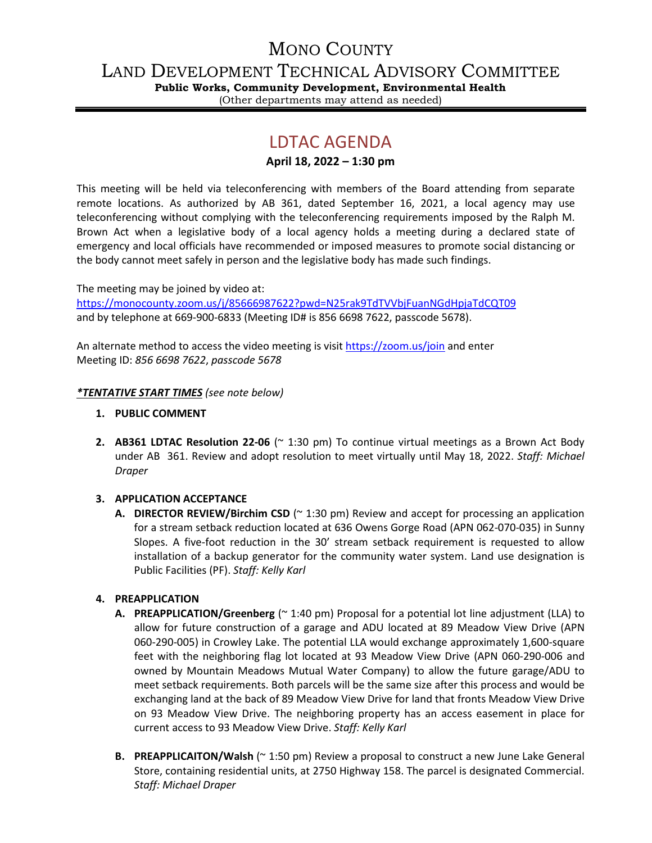# MONO COUNTY

LAND DEVELOPMENT TECHNICAL ADVISORY COMMITTEE

**Public Works, Community Development, Environmental Health**

(Other departments may attend as needed)

# LDTAC AGENDA

### **April 18, 2022 – 1:30 pm**

This meeting will be held via teleconferencing with members of the Board attending from separate remote locations. As authorized by AB 361, dated September 16, 2021, a local agency may use teleconferencing without complying with the teleconferencing requirements imposed by the Ralph M. Brown Act when a legislative body of a local agency holds a meeting during a declared state of emergency and local officials have recommended or imposed measures to promote social distancing or the body cannot meet safely in person and the legislative body has made such findings.

The meeting may be joined by video at: <https://monocounty.zoom.us/j/85666987622?pwd=N25rak9TdTVVbjFuanNGdHpjaTdCQT09> and by telephone at 669-900-6833 (Meeting ID# is 856 6698 7622, passcode 5678).

An alternate method to access the video meeting is visit <https://zoom.us/join> and enter Meeting ID: *856 6698 7622*, *passcode 5678*

#### *\*TENTATIVE START TIMES (see note below)*

- **1. PUBLIC COMMENT**
- **2. AB361 LDTAC Resolution 22-06** (~ 1:30 pm) To continue virtual meetings as a Brown Act Body under AB 361. Review and adopt resolution to meet virtually until May 18, 2022. *Staff: Michael Draper*

#### **3. APPLICATION ACCEPTANCE**

**A. DIRECTOR REVIEW/Birchim CSD** (~ 1:30 pm) Review and accept for processing an application for a stream setback reduction located at 636 Owens Gorge Road (APN 062-070-035) in Sunny Slopes. A five-foot reduction in the 30' stream setback requirement is requested to allow installation of a backup generator for the community water system. Land use designation is Public Facilities (PF). *Staff: Kelly Karl*

## **4. PREAPPLICATION**

- **A. PREAPPLICATION/Greenberg** (~ 1:40 pm) Proposal for a potential lot line adjustment (LLA) to allow for future construction of a garage and ADU located at 89 Meadow View Drive (APN 060-290-005) in Crowley Lake. The potential LLA would exchange approximately 1,600-square feet with the neighboring flag lot located at 93 Meadow View Drive (APN 060-290-006 and owned by Mountain Meadows Mutual Water Company) to allow the future garage/ADU to meet setback requirements. Both parcels will be the same size after this process and would be exchanging land at the back of 89 Meadow View Drive for land that fronts Meadow View Drive on 93 Meadow View Drive. The neighboring property has an access easement in place for current access to 93 Meadow View Drive. *Staff: Kelly Karl*
- **B. PREAPPLICAITON/Walsh** (~ 1:50 pm) Review a proposal to construct a new June Lake General Store, containing residential units, at 2750 Highway 158. The parcel is designated Commercial. *Staff: Michael Draper*